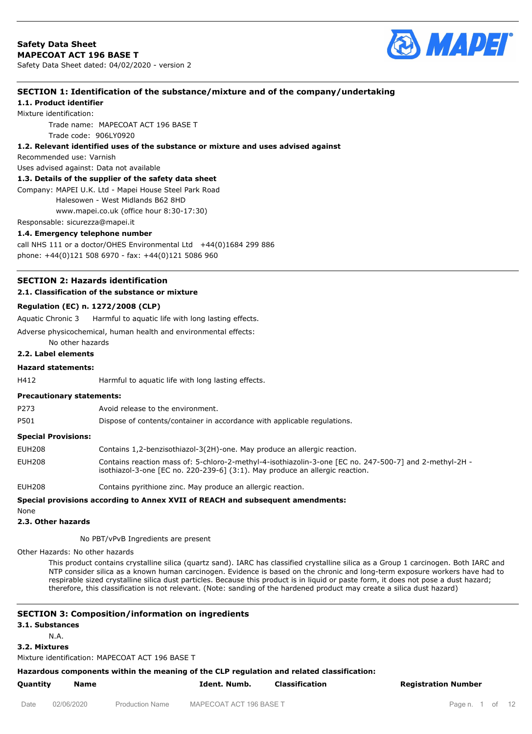

### **SECTION 1: Identification of the substance/mixture and of the company/undertaking**

**1.1. Product identifier**

Mixture identification:

Trade name: MAPECOAT ACT 196 BASE T Trade code: 906LY0920

#### **1.2. Relevant identified uses of the substance or mixture and uses advised against**

Recommended use: Varnish

Uses advised against: Data not available

#### **1.3. Details of the supplier of the safety data sheet**

Company: MAPEI U.K. Ltd - Mapei House Steel Park Road

Halesowen - West Midlands B62 8HD

www.mapei.co.uk (office hour 8:30-17:30)

Responsable: sicurezza@mapei.it

#### **1.4. Emergency telephone number**

call NHS 111 or a doctor/OHES Environmental Ltd  $+44(0)1684$  299 886 phone: +44(0)121 508 6970 - fax: +44(0)121 5086 960

# **SECTION 2: Hazards identification**

#### **2.1. Classification of the substance or mixture**

#### **Regulation (EC) n. 1272/2008 (CLP)**

Aquatic Chronic 3 Harmful to aquatic life with long lasting effects.

Adverse physicochemical, human health and environmental effects:

No other hazards

### **2.2. Label elements**

#### **Hazard statements:**

H412 Harmful to aquatic life with long lasting effects.

#### **Precautionary statements:**

P273 Avoid release to the environment.

P501 Dispose of contents/container in accordance with applicable regulations.

#### **Special Provisions:**

| EUH208 | Contains 1,2-benzisothiazol-3(2H)-one. May produce an allergic reaction.                                                                                                                  |
|--------|-------------------------------------------------------------------------------------------------------------------------------------------------------------------------------------------|
| EUH208 | Contains reaction mass of: 5-chloro-2-methyl-4-isothiazolin-3-one [EC no. 247-500-7] and 2-methyl-2H -<br>isothiazol-3-one [EC no. 220-239-6] $(3:1)$ . May produce an allergic reaction. |
| EUH208 | Contains pyrithione zinc. May produce an allergic reaction.                                                                                                                               |

# **Special provisions according to Annex XVII of REACH and subsequent amendments:**

None

**2.3. Other hazards**

No PBT/vPvB Ingredients are present

Other Hazards: No other hazards

This product contains crystalline silica (quartz sand). IARC has classified crystalline silica as a Group 1 carcinogen. Both IARC and NTP consider silica as a known human carcinogen. Evidence is based on the chronic and long-term exposure workers have had to respirable sized crystalline silica dust particles. Because this product is in liquid or paste form, it does not pose a dust hazard; therefore, this classification is not relevant. (Note: sanding of the hardened product may create a silica dust hazard)

#### **SECTION 3: Composition/information on ingredients**

**3.1. Substances**

N.A.

**3.2. Mixtures**

Mixture identification: MAPECOAT ACT 196 BASE T

**Hazardous components within the meaning of the CLP regulation and related classification:**

**Quantity Name Ident. Numb. Classification Registration Number**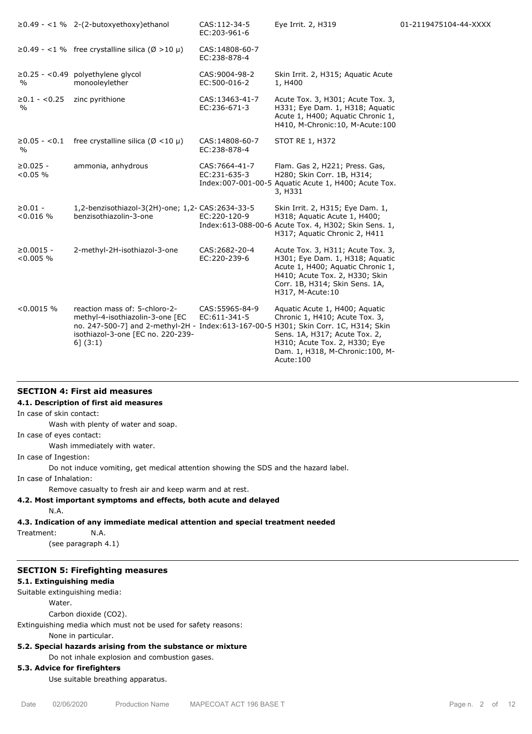|                                         | $\geq$ 0.49 - <1 % 2-(2-butoxyethoxy)ethanol                                                                                                                                                             | CAS: 112-34-5<br>EC:203-961-6   | Eye Irrit. 2, H319                                                                                                                                                                                 | 01-2119475104-44-XXXX |
|-----------------------------------------|----------------------------------------------------------------------------------------------------------------------------------------------------------------------------------------------------------|---------------------------------|----------------------------------------------------------------------------------------------------------------------------------------------------------------------------------------------------|-----------------------|
|                                         | $\geq$ 0.49 - <1 % free crystalline silica (Ø >10 µ)                                                                                                                                                     | CAS: 14808-60-7<br>EC:238-878-4 |                                                                                                                                                                                                    |                       |
| $\%$                                    | $\geq$ 0.25 - <0.49 polyethylene glycol<br>monooleylether                                                                                                                                                | CAS: 9004-98-2<br>EC:500-016-2  | Skin Irrit. 2, H315; Aquatic Acute<br>1, H400                                                                                                                                                      |                       |
| $\geq 0.1 - \leq 0.25$<br>$\frac{0}{0}$ | zinc pyrithione                                                                                                                                                                                          | CAS: 13463-41-7<br>EC:236-671-3 | Acute Tox. 3, H301; Acute Tox. 3,<br>H331; Eye Dam. 1, H318; Aquatic<br>Acute 1, H400; Aquatic Chronic 1,<br>H410, M-Chronic: 10, M-Acute: 100                                                     |                       |
| $\geq 0.05 - 0.1$<br>%                  | free crystalline silica ( $\varnothing$ <10 µ)                                                                                                                                                           | CAS: 14808-60-7<br>EC:238-878-4 | <b>STOT RE 1, H372</b>                                                                                                                                                                             |                       |
| $\geq 0.025 -$<br>< 0.05 %              | ammonia, anhydrous                                                                                                                                                                                       | CAS: 7664-41-7<br>EC:231-635-3  | Flam. Gas 2, H221; Press. Gas,<br>H280; Skin Corr. 1B, H314;<br>Index:007-001-00-5 Aquatic Acute 1, H400; Acute Tox.<br>3, H331                                                                    |                       |
| $\geq 0.01 -$<br>< 0.016 %              | 1,2-benzisothiazol-3(2H)-one; 1,2- CAS:2634-33-5<br>benzisothiazolin-3-one                                                                                                                               | EC:220-120-9                    | Skin Irrit. 2, H315; Eye Dam. 1,<br>H318; Aquatic Acute 1, H400;<br>Index:613-088-00-6 Acute Tox. 4, H302; Skin Sens. 1,<br>H317; Aquatic Chronic 2, H411                                          |                       |
| $\geq 0.0015 -$<br>< 0.005 %            | 2-methyl-2H-isothiazol-3-one                                                                                                                                                                             | CAS: 2682-20-4<br>EC:220-239-6  | Acute Tox. 3, H311; Acute Tox. 3,<br>H301; Eye Dam. 1, H318; Aquatic<br>Acute 1, H400; Aquatic Chronic 1,<br>H410; Acute Tox. 2, H330; Skin<br>Corr. 1B, H314; Skin Sens. 1A,<br>H317, M-Acute: 10 |                       |
| $< 0.0015$ %                            | reaction mass of: 5-chloro-2-<br>methyl-4-isothiazolin-3-one [EC<br>no. 247-500-7] and 2-methyl-2H - Index:613-167-00-5 H301; Skin Corr. 1C, H314; Skin<br>isothiazol-3-one [EC no. 220-239-<br>6] (3:1) | CAS: 55965-84-9<br>EC:611-341-5 | Aquatic Acute 1, H400; Aquatic<br>Chronic 1, H410; Acute Tox. 3,<br>Sens. 1A, H317; Acute Tox. 2,<br>H310; Acute Tox. 2, H330; Eye<br>Dam. 1, H318, M-Chronic: 100, M-<br>Acute: 100               |                       |

#### **SECTION 4: First aid measures**

### **4.1. Description of first aid measures**

In case of skin contact:

Wash with plenty of water and soap.

In case of eyes contact:

Wash immediately with water.

In case of Ingestion:

Do not induce vomiting, get medical attention showing the SDS and the hazard label.

In case of Inhalation:

Remove casualty to fresh air and keep warm and at rest.

# **4.2. Most important symptoms and effects, both acute and delayed**

N.A.

# **4.3. Indication of any immediate medical attention and special treatment needed**

Treatment: N.A.

(see paragraph 4.1)

# **SECTION 5: Firefighting measures**

### **5.1. Extinguishing media**

Suitable extinguishing media:

Water.

Carbon dioxide (CO2).

Extinguishing media which must not be used for safety reasons:

None in particular.

# **5.2. Special hazards arising from the substance or mixture**

Do not inhale explosion and combustion gases.

# **5.3. Advice for firefighters**

Use suitable breathing apparatus.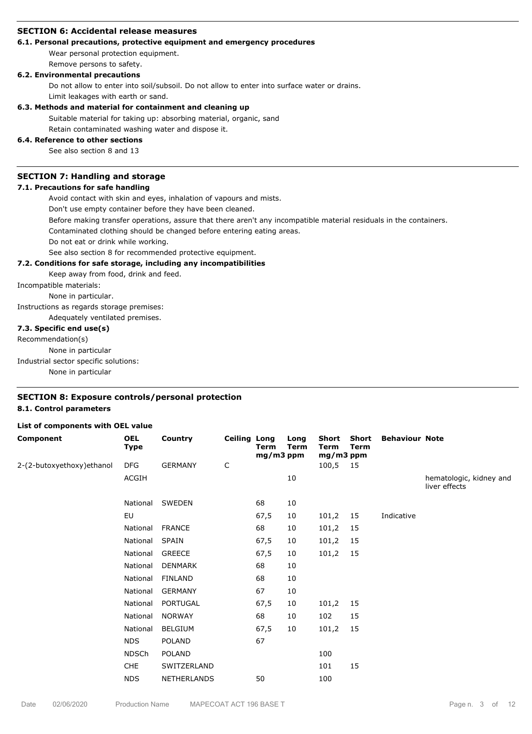#### **SECTION 6: Accidental release measures**

### **6.1. Personal precautions, protective equipment and emergency procedures**

Wear personal protection equipment.

Remove persons to safety.

#### **6.2. Environmental precautions**

Do not allow to enter into soil/subsoil. Do not allow to enter into surface water or drains.

Limit leakages with earth or sand.

#### **6.3. Methods and material for containment and cleaning up**

Suitable material for taking up: absorbing material, organic, sand

Retain contaminated washing water and dispose it.

# **6.4. Reference to other sections**

See also section 8 and 13

#### **SECTION 7: Handling and storage**

#### **7.1. Precautions for safe handling**

Avoid contact with skin and eyes, inhalation of vapours and mists.

Don't use empty container before they have been cleaned.

Before making transfer operations, assure that there aren't any incompatible material residuals in the containers.

Contaminated clothing should be changed before entering eating areas.

Do not eat or drink while working.

See also section 8 for recommended protective equipment.

#### **7.2. Conditions for safe storage, including any incompatibilities**

Keep away from food, drink and feed.

Incompatible materials:

None in particular.

Instructions as regards storage premises:

Adequately ventilated premises.

# **7.3. Specific end use(s)**

Recommendation(s)

None in particular

Industrial sector specific solutions:

None in particular

### **SECTION 8: Exposure controls/personal protection 8.1. Control parameters**

#### **List of components with OEL value**

| Component                  | <b>OEL</b><br>Type | Country            | <b>Ceiling Long</b> | Term<br>$mg/m3$ ppm | Long<br><b>Term</b> | Short<br>Term<br>mg/m3 ppm | Short<br>Term | <b>Behaviour Note</b> |                                          |
|----------------------------|--------------------|--------------------|---------------------|---------------------|---------------------|----------------------------|---------------|-----------------------|------------------------------------------|
| 2-(2-butoxyethoxy) ethanol | <b>DFG</b>         | <b>GERMANY</b>     | $\mathsf C$         |                     |                     | 100,5 15                   |               |                       |                                          |
|                            | ACGIH              |                    |                     |                     | 10                  |                            |               |                       | hematologic, kidney and<br>liver effects |
|                            | National           | SWEDEN             |                     | 68                  | 10                  |                            |               |                       |                                          |
|                            | EU                 |                    |                     | 67,5                | 10                  | 101,2                      | 15            | Indicative            |                                          |
|                            | National           | <b>FRANCE</b>      |                     | 68                  | 10                  | 101,2                      | 15            |                       |                                          |
|                            | National           | SPAIN              |                     | 67,5                | 10                  | 101,2                      | 15            |                       |                                          |
|                            | National           | <b>GREECE</b>      |                     | 67,5                | 10                  | 101,2                      | 15            |                       |                                          |
|                            | National           | DENMARK            |                     | 68                  | 10                  |                            |               |                       |                                          |
|                            | National           | <b>FINLAND</b>     |                     | 68                  | 10                  |                            |               |                       |                                          |
|                            | National           | <b>GERMANY</b>     |                     | 67                  | 10                  |                            |               |                       |                                          |
|                            | National           | PORTUGAL           |                     | 67,5                | 10                  | 101,2                      | 15            |                       |                                          |
|                            | National           | <b>NORWAY</b>      |                     | 68                  | 10                  | 102                        | 15            |                       |                                          |
|                            | National           | <b>BELGIUM</b>     |                     | 67,5                | 10                  | 101,2                      | 15            |                       |                                          |
|                            | <b>NDS</b>         | <b>POLAND</b>      |                     | 67                  |                     |                            |               |                       |                                          |
|                            | <b>NDSCh</b>       | POLAND             |                     |                     |                     | 100                        |               |                       |                                          |
|                            | <b>CHE</b>         | SWITZERLAND        |                     |                     |                     | 101                        | 15            |                       |                                          |
|                            | <b>NDS</b>         | <b>NETHERLANDS</b> |                     | 50                  |                     | 100                        |               |                       |                                          |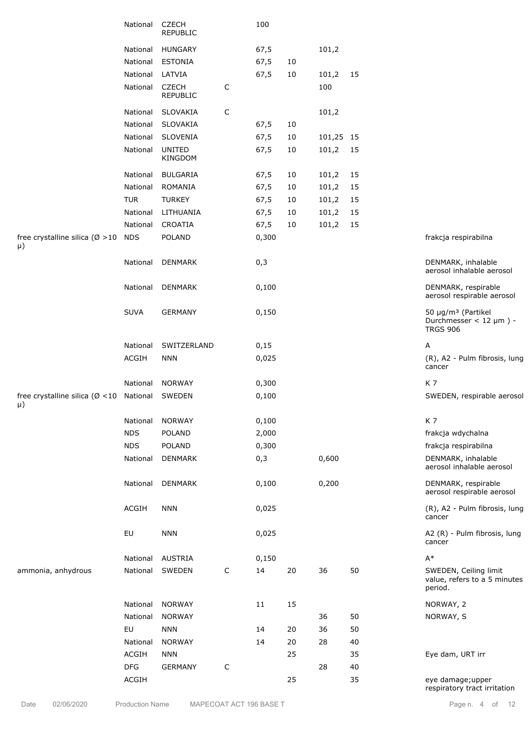|                                                               | National    | <b>CZECH</b><br><b>REPUBLIC</b> |             | 100   |    |           |    |                                                                                   |
|---------------------------------------------------------------|-------------|---------------------------------|-------------|-------|----|-----------|----|-----------------------------------------------------------------------------------|
|                                                               | National    | <b>HUNGARY</b>                  |             | 67,5  |    | 101,2     |    |                                                                                   |
|                                                               | National    | <b>ESTONIA</b>                  |             | 67,5  | 10 |           |    |                                                                                   |
|                                                               | National    | LATVIA                          |             | 67,5  | 10 | 101,2     | 15 |                                                                                   |
|                                                               | National    | <b>CZECH</b><br><b>REPUBLIC</b> | C           |       |    | 100       |    |                                                                                   |
|                                                               | National    | SLOVAKIA                        | C           |       |    | 101,2     |    |                                                                                   |
|                                                               | National    | SLOVAKIA                        |             | 67,5  | 10 |           |    |                                                                                   |
|                                                               | National    | SLOVENIA                        |             | 67,5  | 10 | 101,25 15 |    |                                                                                   |
|                                                               | National    | <b>UNITED</b><br>KINGDOM        |             | 67,5  | 10 | 101,2     | 15 |                                                                                   |
|                                                               | National    | <b>BULGARIA</b>                 |             | 67,5  | 10 | 101,2     | 15 |                                                                                   |
|                                                               | National    | ROMANIA                         |             | 67,5  | 10 | 101,2     | 15 |                                                                                   |
|                                                               | <b>TUR</b>  | <b>TURKEY</b>                   |             | 67,5  | 10 | 101,2     | 15 |                                                                                   |
|                                                               | National    | LITHUANIA                       |             | 67,5  | 10 | 101,2     | 15 |                                                                                   |
|                                                               | National    | CROATIA                         |             | 67,5  | 10 | 101,2     | 15 |                                                                                   |
| free crystalline silica ( $\varnothing > 10$<br>$\mu$         | <b>NDS</b>  | <b>POLAND</b>                   |             | 0,300 |    |           |    | frakcja respirabilna                                                              |
|                                                               | National    | DENMARK                         |             | 0,3   |    |           |    | DENMARK, inhalable<br>aerosol inhalable aerosol                                   |
|                                                               | National    | <b>DENMARK</b>                  |             | 0,100 |    |           |    | DENMARK, respirable<br>aerosol respirable aerosol                                 |
|                                                               | <b>SUVA</b> | <b>GERMANY</b>                  |             | 0,150 |    |           |    | 50 µg/m <sup>3</sup> (Partikel<br>Durchmesser < $12 \mu m$ ) -<br><b>TRGS 906</b> |
|                                                               | National    | SWITZERLAND                     |             | 0,15  |    |           |    | А                                                                                 |
|                                                               | ACGIH       | <b>NNN</b>                      |             | 0,025 |    |           |    | (R), A2 - Pulm fibrosis, lung<br>cancer                                           |
|                                                               | National    | <b>NORWAY</b>                   |             | 0,300 |    |           |    | K7                                                                                |
| free crystalline silica ( $\varnothing$ <10 National<br>$\mu$ |             | SWEDEN                          |             | 0,100 |    |           |    | SWEDEN, respirable aerosol                                                        |
|                                                               | National    | <b>NORWAY</b>                   |             | 0,100 |    |           |    | K7                                                                                |
|                                                               | <b>NDS</b>  | POLAND                          |             | 2,000 |    |           |    | frakcja wdychalna                                                                 |
|                                                               | <b>NDS</b>  | POLAND                          |             | 0,300 |    |           |    | frakcja respirabilna                                                              |
|                                                               | National    | <b>DENMARK</b>                  |             | 0,3   |    | 0,600     |    | DENMARK, inhalable<br>aerosol inhalable aerosol                                   |
|                                                               | National    | <b>DENMARK</b>                  |             | 0,100 |    | 0,200     |    | DENMARK, respirable<br>aerosol respirable aerosol                                 |
|                                                               | ACGIH       | <b>NNN</b>                      |             | 0,025 |    |           |    | (R), A2 - Pulm fibrosis, lung<br>cancer                                           |
|                                                               | EU          | <b>NNN</b>                      |             | 0,025 |    |           |    | A2 (R) - Pulm fibrosis, lung<br>cancer                                            |
|                                                               | National    | <b>AUSTRIA</b>                  |             | 0,150 |    |           |    | $\mathsf{A}^*$                                                                    |
| ammonia, anhydrous                                            | National    | SWEDEN                          | $\mathsf C$ | 14    | 20 | 36        | 50 | SWEDEN, Ceiling limit<br>value, refers to a 5 minutes<br>period.                  |
|                                                               |             |                                 |             |       |    |           |    |                                                                                   |
|                                                               | National    | <b>NORWAY</b>                   |             | 11    | 15 |           |    | NORWAY, 2                                                                         |
|                                                               | National    | <b>NORWAY</b>                   |             |       |    | 36        | 50 | NORWAY, S                                                                         |
|                                                               | EU          | <b>NNN</b>                      |             | 14    | 20 | 36        | 50 |                                                                                   |
|                                                               | National    | <b>NORWAY</b>                   |             | 14    | 20 | 28        | 40 |                                                                                   |
|                                                               | ACGIH       | <b>NNN</b>                      |             |       | 25 |           | 35 | Eye dam, URT irr                                                                  |
|                                                               | DFG         | <b>GERMANY</b>                  | C           |       |    | 28        | 40 |                                                                                   |
|                                                               | ACGIH       |                                 |             |       | 25 |           | 35 | eye damage; upper<br>respiratory tract irritation                                 |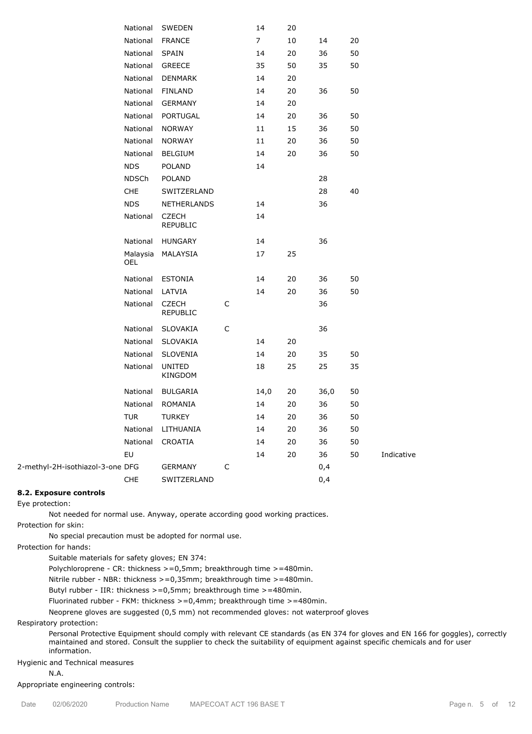|                                  | National        | SWEDEN                          |             | 14             | 20 |      |    |            |
|----------------------------------|-----------------|---------------------------------|-------------|----------------|----|------|----|------------|
|                                  | National        | <b>FRANCE</b>                   |             | $\overline{7}$ | 10 | 14   | 20 |            |
|                                  | National        | SPAIN                           |             | 14             | 20 | 36   | 50 |            |
|                                  | National        | <b>GREECE</b>                   |             | 35             | 50 | 35   | 50 |            |
|                                  | National        | <b>DENMARK</b>                  |             | 14             | 20 |      |    |            |
|                                  | National        | <b>FINLAND</b>                  |             | 14             | 20 | 36   | 50 |            |
|                                  | National        | <b>GERMANY</b>                  |             | 14             | 20 |      |    |            |
|                                  | National        | PORTUGAL                        |             | 14             | 20 | 36   | 50 |            |
|                                  | National        | <b>NORWAY</b>                   |             | 11             | 15 | 36   | 50 |            |
|                                  | National        | <b>NORWAY</b>                   |             | 11             | 20 | 36   | 50 |            |
|                                  | National        | <b>BELGIUM</b>                  |             | 14             | 20 | 36   | 50 |            |
|                                  | <b>NDS</b>      | <b>POLAND</b>                   |             | 14             |    |      |    |            |
|                                  | <b>NDSCh</b>    | <b>POLAND</b>                   |             |                |    | 28   |    |            |
|                                  | CHE             | SWITZERLAND                     |             |                |    | 28   | 40 |            |
|                                  | <b>NDS</b>      | <b>NETHERLANDS</b>              |             | 14             |    | 36   |    |            |
|                                  | National        | <b>CZECH</b><br><b>REPUBLIC</b> |             | 14             |    |      |    |            |
|                                  | National        | HUNGARY                         |             | 14             |    | 36   |    |            |
|                                  | Malaysia<br>OEL | MALAYSIA                        |             | 17             | 25 |      |    |            |
|                                  | National        | <b>ESTONIA</b>                  |             | 14             | 20 | 36   | 50 |            |
|                                  | National        | LATVIA                          |             | 14             | 20 | 36   | 50 |            |
|                                  | National        | <b>CZECH</b><br><b>REPUBLIC</b> | C           |                |    | 36   |    |            |
|                                  | National        | SLOVAKIA                        | C           |                |    | 36   |    |            |
|                                  | National        | SLOVAKIA                        |             | 14             | 20 |      |    |            |
|                                  | National        | SLOVENIA                        |             | 14             | 20 | 35   | 50 |            |
|                                  | National        | <b>UNITED</b><br>KINGDOM        |             | 18             | 25 | 25   | 35 |            |
|                                  | National        | <b>BULGARIA</b>                 |             | 14,0           | 20 | 36,0 | 50 |            |
|                                  | National        | ROMANIA                         |             | 14             | 20 | 36   | 50 |            |
|                                  | TUR             | TURKEY                          |             | 14             | 20 | 36   | 50 |            |
|                                  | National        | LITHUANIA                       |             | 14             | 20 | 36   | 50 |            |
|                                  | National        | CROATIA                         |             | 14             | 20 | 36   | 50 |            |
|                                  | EU              |                                 |             | 14             | 20 | 36   | 50 | Indicative |
| 2-methyl-2H-isothiazol-3-one DFG |                 | <b>GERMANY</b>                  | $\mathsf C$ |                |    | 0,4  |    |            |
|                                  | CHE             | SWITZERLAND                     |             |                |    | 0,4  |    |            |

### **8.2. Exposure controls**

Eye protection:

Not needed for normal use. Anyway, operate according good working practices.

Protection for skin:

No special precaution must be adopted for normal use.

Protection for hands:

Suitable materials for safety gloves; EN 374:

Polychloroprene - CR: thickness >=0,5mm; breakthrough time >=480min.

Nitrile rubber - NBR: thickness >=0,35mm; breakthrough time >=480min.

Butyl rubber - IIR: thickness >=0,5mm; breakthrough time >=480min.

Fluorinated rubber - FKM: thickness >=0,4mm; breakthrough time >=480min.

Neoprene gloves are suggested (0,5 mm) not recommended gloves: not waterproof gloves

#### Respiratory protection:

Personal Protective Equipment should comply with relevant CE standards (as EN 374 for gloves and EN 166 for goggles), correctly maintained and stored. Consult the supplier to check the suitability of equipment against specific chemicals and for user information.

### Hygienic and Technical measures

N.A.

#### Appropriate engineering controls: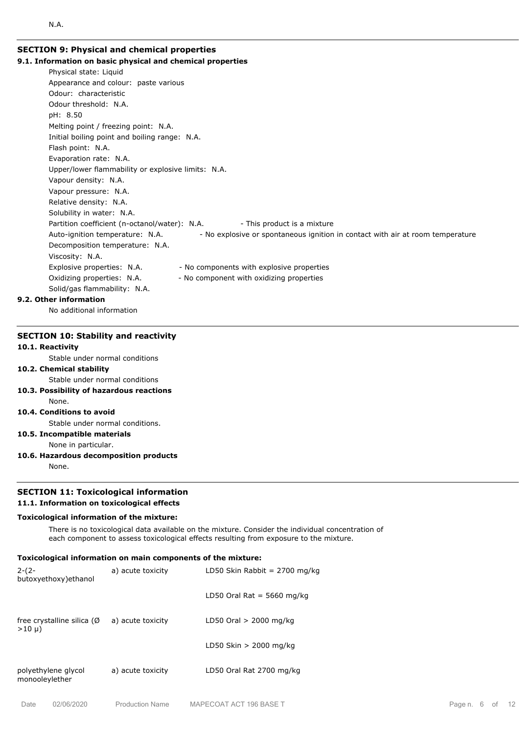# **SECTION 9: Physical and chemical properties 9.1. Information on basic physical and chemical properties**

Physical state: Liquid Appearance and colour: paste various Odour: characteristic Odour threshold: N.A. pH: 8.50 Melting point / freezing point: N.A. Initial boiling point and boiling range: N.A. Flash point: N.A. Evaporation rate: N.A. Upper/lower flammability or explosive limits: N.A. Vapour density: N.A. Vapour pressure: N.A. Relative density: N.A. Solubility in water: N.A. Partition coefficient (n-octanol/water): N.A. - This product is a mixture Auto-ignition temperature: N.A. - No explosive or spontaneous ignition in contact with air at room temperature Decomposition temperature: N.A. Viscosity: N.A. Explosive properties: N.A. - No components with explosive properties Oxidizing properties: N.A. - No component with oxidizing properties Solid/gas flammability: N.A. **9.2. Other information**

No additional information

# **SECTION 10: Stability and reactivity**

# **10.1. Reactivity**

N.A.

Stable under normal conditions

**10.2. Chemical stability**

Stable under normal conditions

**10.3. Possibility of hazardous reactions** None.

#### **10.4. Conditions to avoid**

Stable under normal conditions.

# **10.5. Incompatible materials**

None in particular.

**10.6. Hazardous decomposition products**

None.

# **SECTION 11: Toxicological information**

# **11.1. Information on toxicological effects**

# **Toxicological information of the mixture:**

There is no toxicological data available on the mixture. Consider the individual concentration of each component to assess toxicological effects resulting from exposure to the mixture.

#### **Toxicological information on main components of the mixture:** 2-(2 a) acute toxicity LD50 Skin Rabbit = 2700 mg/kg

| butoxyethoxy) ethanol                                |                   |                            |
|------------------------------------------------------|-------------------|----------------------------|
|                                                      |                   | LD50 Oral Rat = 5660 mg/kg |
| free crystalline silica ( $\emptyset$<br>$>10 \mu$ ) | a) acute toxicity | LD50 Oral $> 2000$ mg/kg   |
|                                                      |                   | LD50 Skin $> 2000$ mg/kg   |
| polyethylene glycol<br>monooleylether                | a) acute toxicity | LD50 Oral Rat 2700 mg/kg   |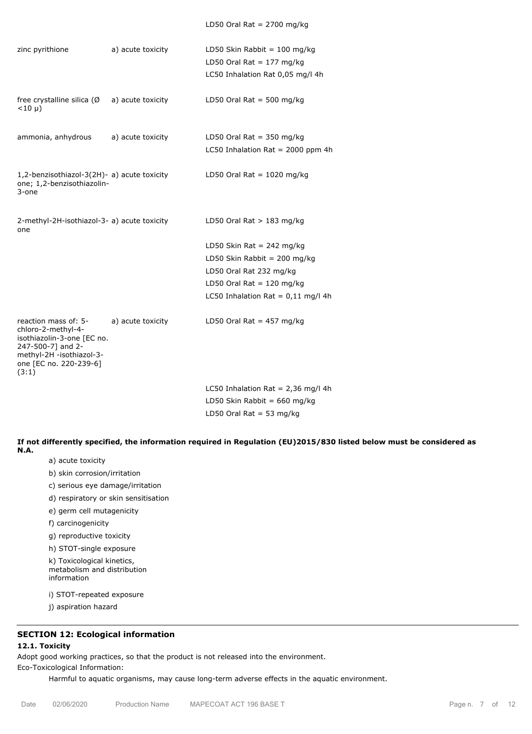| zinc pyrithione                                                                                                                                              | a) acute toxicity | LD50 Skin Rabbit = $100 \text{ mg/kg}$<br>LD50 Oral Rat = $177$ mg/kg<br>LC50 Inhalation Rat 0,05 mg/l 4h |
|--------------------------------------------------------------------------------------------------------------------------------------------------------------|-------------------|-----------------------------------------------------------------------------------------------------------|
| free crystalline silica $(\emptyset$ a) acute toxicity<br>$<$ 10 µ)                                                                                          |                   | LD50 Oral Rat = 500 mg/kg                                                                                 |
| ammonia, anhydrous                                                                                                                                           | a) acute toxicity | LD50 Oral Rat = $350$ mg/kg<br>LC50 Inhalation Rat = 2000 ppm 4h                                          |
| 1,2-benzisothiazol-3(2H)- a) acute toxicity<br>one; 1,2-benzisothiazolin-<br>3-one                                                                           |                   | LD50 Oral Rat = $1020$ mg/kg                                                                              |
| 2-methyl-2H-isothiazol-3- a) acute toxicity<br>one                                                                                                           |                   | LD50 Oral Rat $>$ 183 mg/kg                                                                               |
|                                                                                                                                                              |                   | LD50 Skin Rat = 242 mg/kg                                                                                 |
|                                                                                                                                                              |                   | LD50 Skin Rabbit = 200 mg/kg                                                                              |
|                                                                                                                                                              |                   | LD50 Oral Rat 232 mg/kg                                                                                   |
|                                                                                                                                                              |                   | LD50 Oral Rat = $120$ mg/kg                                                                               |
|                                                                                                                                                              |                   | LC50 Inhalation Rat = $0,11$ mg/l 4h                                                                      |
| reaction mass of: 5-<br>chloro-2-methyl-4-<br>isothiazolin-3-one [EC no.<br>247-500-7] and 2-<br>methyl-2H -isothiazol-3-<br>one [EC no. 220-239-6]<br>(3:1) | a) acute toxicity | LD50 Oral Rat = $457$ mg/kg                                                                               |
|                                                                                                                                                              |                   | LC50 Inhalation Rat = $2,36$ mg/l 4h                                                                      |
|                                                                                                                                                              |                   | LD50 Skin Rabbit = $660$ mg/kg                                                                            |
|                                                                                                                                                              |                   | LD50 Oral Rat = 53 mg/kg                                                                                  |

**If not differently specified, the information required in Regulation (EU)2015/830 listed below must be considered as N.A.**

- a) acute toxicity
- b) skin corrosion/irritation
- c) serious eye damage/irritation
- d) respiratory or skin sensitisation
- e) germ cell mutagenicity

f) carcinogenicity

g) reproductive toxicity

h) STOT-single exposure

k) Toxicological kinetics, metabolism and distribution information

i) STOT-repeated exposure

j) aspiration hazard

# **SECTION 12: Ecological information**

### **12.1. Toxicity**

Adopt good working practices, so that the product is not released into the environment.

Eco-Toxicological Information:

Harmful to aquatic organisms, may cause long-term adverse effects in the aquatic environment.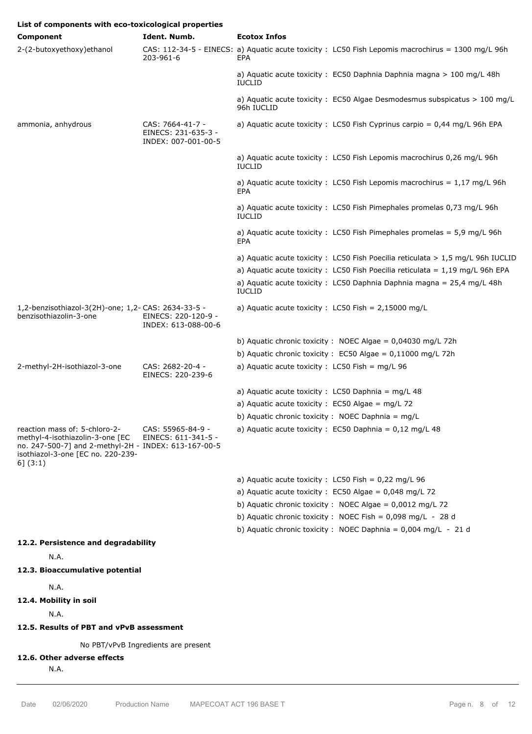| List of components with eco-toxicological properties                                                                                                                      |                                                                |                                                                                                          |
|---------------------------------------------------------------------------------------------------------------------------------------------------------------------------|----------------------------------------------------------------|----------------------------------------------------------------------------------------------------------|
| Component                                                                                                                                                                 | Ident. Numb.                                                   | <b>Ecotox Infos</b>                                                                                      |
| 2-(2-butoxyethoxy) ethanol                                                                                                                                                | 203-961-6                                                      | CAS: 112-34-5 - EINECS: a) Aguatic acute toxicity : LC50 Fish Lepomis macrochirus = 1300 mg/L 96h<br>EPA |
|                                                                                                                                                                           |                                                                | a) Aquatic acute toxicity: EC50 Daphnia Daphnia magna > 100 mg/L 48h<br><b>IUCLID</b>                    |
|                                                                                                                                                                           |                                                                | a) Aquatic acute toxicity : EC50 Algae Desmodesmus subspicatus $> 100$ mg/L<br>96h IUCLID                |
| ammonia, anhydrous                                                                                                                                                        | CAS: 7664-41-7 -<br>EINECS: 231-635-3 -<br>INDEX: 007-001-00-5 | a) Aquatic acute toxicity : LC50 Fish Cyprinus carpio = $0.44$ mg/L 96h EPA                              |
|                                                                                                                                                                           |                                                                | a) Aquatic acute toxicity : LC50 Fish Lepomis macrochirus 0,26 mg/L 96h<br><b>IUCLID</b>                 |
|                                                                                                                                                                           |                                                                | a) Aquatic acute toxicity : LC50 Fish Lepomis macrochirus = $1,17$ mg/L 96h<br>EPA                       |
|                                                                                                                                                                           |                                                                | a) Aquatic acute toxicity: LC50 Fish Pimephales promelas 0,73 mg/L 96h<br><b>IUCLID</b>                  |
|                                                                                                                                                                           |                                                                | a) Aquatic acute toxicity : LC50 Fish Pimephales promelas = $5.9$ mg/L 96h<br>EPA                        |
|                                                                                                                                                                           |                                                                | a) Aquatic acute toxicity : LC50 Fish Poecilia reticulata $> 1.5$ mg/L 96h IUCLID                        |
|                                                                                                                                                                           |                                                                | a) Aquatic acute toxicity : LC50 Fish Poecilia reticulata = $1,19$ mg/L 96h EPA                          |
|                                                                                                                                                                           |                                                                | a) Aquatic acute toxicity : LC50 Daphnia Daphnia magna = $25.4$ mg/L 48h<br><b>IUCLID</b>                |
| 1,2-benzisothiazol-3(2H)-one; 1,2- CAS: 2634-33-5 -<br>benzisothiazolin-3-one                                                                                             | EINECS: 220-120-9 -<br>INDEX: 613-088-00-6                     | a) Aquatic acute toxicity : LC50 Fish = $2,15000$ mg/L                                                   |
|                                                                                                                                                                           |                                                                | b) Aquatic chronic toxicity : NOEC Algae = $0,04030$ mg/L 72h                                            |
|                                                                                                                                                                           |                                                                | b) Aquatic chronic toxicity : $EC50$ Algae = 0,11000 mg/L 72h                                            |
| 2-methyl-2H-isothiazol-3-one                                                                                                                                              | CAS: 2682-20-4 -<br>EINECS: 220-239-6                          | a) Aquatic acute toxicity : $LC50$ Fish = mg/L 96                                                        |
|                                                                                                                                                                           |                                                                | a) Aquatic acute toxicity : LC50 Daphnia = $mg/L$ 48                                                     |
|                                                                                                                                                                           |                                                                | a) Aquatic acute toxicity : $EC50$ Algae = mg/L 72                                                       |
|                                                                                                                                                                           |                                                                | b) Aquatic chronic toxicity : NOEC Daphnia = mg/L                                                        |
| reaction mass of: 5-chloro-2-<br>methyl-4-isothiazolin-3-one [EC<br>no. 247-500-7] and 2-methyl-2H - INDEX: 613-167-00-5<br>isothiazol-3-one [EC no. 220-239-<br>6] (3:1) | CAS: 55965-84-9 -<br>EINECS: 611-341-5 -                       | a) Aquatic acute toxicity : EC50 Daphnia = $0.12$ mg/L 48                                                |
|                                                                                                                                                                           |                                                                | a) Aquatic acute toxicity : LC50 Fish = $0,22$ mg/L 96                                                   |
|                                                                                                                                                                           |                                                                | a) Aquatic acute toxicity : EC50 Algae = $0,048$ mg/L 72                                                 |
|                                                                                                                                                                           |                                                                | b) Aquatic chronic toxicity : NOEC Algae = $0,0012$ mg/L 72                                              |
|                                                                                                                                                                           |                                                                | b) Aquatic chronic toxicity : NOEC Fish = $0.098$ mg/L - 28 d                                            |
|                                                                                                                                                                           |                                                                | b) Aquatic chronic toxicity : NOEC Daphnia = $0,004 \text{ mg/L} - 21 \text{ d}$                         |
| 12.2. Persistence and degradability                                                                                                                                       |                                                                |                                                                                                          |
| N.A.                                                                                                                                                                      |                                                                |                                                                                                          |
| 12.3. Bioaccumulative potential                                                                                                                                           |                                                                |                                                                                                          |

N.A.

**12.4. Mobility in soil**

N.A.

**12.5. Results of PBT and vPvB assessment**

No PBT/vPvB Ingredients are present

# **12.6. Other adverse effects**

N.A.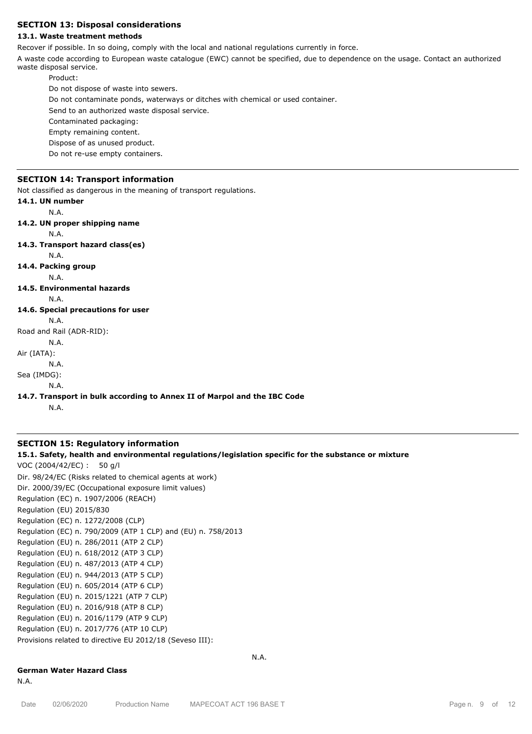# **SECTION 13: Disposal considerations**

# **13.1. Waste treatment methods**

Recover if possible. In so doing, comply with the local and national regulations currently in force.

A waste code according to European waste catalogue (EWC) cannot be specified, due to dependence on the usage. Contact an authorized waste disposal service.

Product:

Do not dispose of waste into sewers.

Do not contaminate ponds, waterways or ditches with chemical or used container.

Send to an authorized waste disposal service.

Contaminated packaging:

Empty remaining content.

Dispose of as unused product.

Do not re-use empty containers.

#### **SECTION 14: Transport information**

Not classified as dangerous in the meaning of transport regulations.

**14.1. UN number** N.A. **14.2. UN proper shipping name** N.A. **14.3. Transport hazard class(es)** N.A. **14.4. Packing group** N.A. **14.5. Environmental hazards** N.A. **14.6. Special precautions for user** N.A. Road and Rail (ADR-RID): N.A. Air (IATA): N.A. Sea (IMDG): N.A. **14.7. Transport in bulk according to Annex II of Marpol and the IBC Code** N.A.

### **SECTION 15: Regulatory information**

#### **15.1. Safety, health and environmental regulations/legislation specific for the substance or mixture**

N.A.

VOC (2004/42/EC) : 50 g/l Dir. 98/24/EC (Risks related to chemical agents at work) Dir. 2000/39/EC (Occupational exposure limit values) Regulation (EC) n. 1907/2006 (REACH) Regulation (EU) 2015/830 Regulation (EC) n. 1272/2008 (CLP) Regulation (EC) n. 790/2009 (ATP 1 CLP) and (EU) n. 758/2013 Regulation (EU) n. 286/2011 (ATP 2 CLP) Regulation (EU) n. 618/2012 (ATP 3 CLP) Regulation (EU) n. 487/2013 (ATP 4 CLP) Regulation (EU) n. 944/2013 (ATP 5 CLP) Regulation (EU) n. 605/2014 (ATP 6 CLP) Regulation (EU) n. 2015/1221 (ATP 7 CLP) Regulation (EU) n. 2016/918 (ATP 8 CLP) Regulation (EU) n. 2016/1179 (ATP 9 CLP) Regulation (EU) n. 2017/776 (ATP 10 CLP) Provisions related to directive EU 2012/18 (Seveso III):

#### **German Water Hazard Class**

N.A.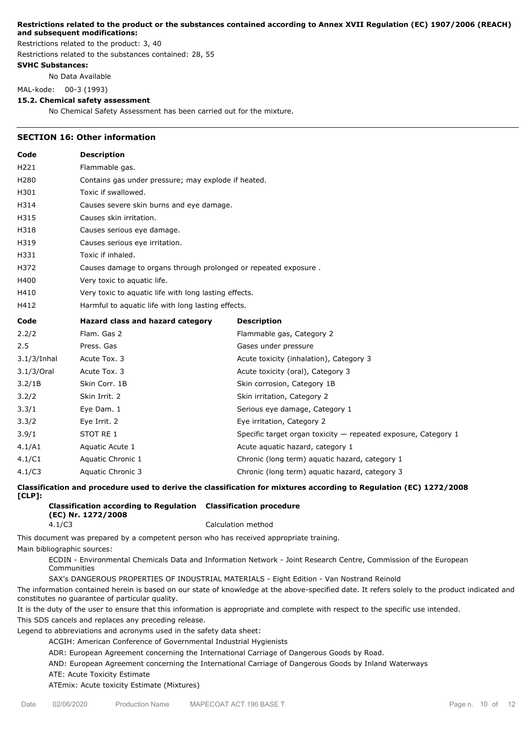#### **Restrictions related to the product or the substances contained according to Annex XVII Regulation (EC) 1907/2006 (REACH) and subsequent modifications:**

Restrictions related to the product: 3, 40

Restrictions related to the substances contained: 28, 55

### **SVHC Substances:**

No Data Available

MAL-kode: 00-3 (1993)

#### **15.2. Chemical safety assessment**

No Chemical Safety Assessment has been carried out for the mixture.

#### **SECTION 16: Other information**

| Code        | <b>Description</b>                                              |                                                                |  |  |  |  |
|-------------|-----------------------------------------------------------------|----------------------------------------------------------------|--|--|--|--|
| H221        | Flammable gas.                                                  |                                                                |  |  |  |  |
| H280        |                                                                 | Contains gas under pressure; may explode if heated.            |  |  |  |  |
| H301        | Toxic if swallowed.                                             |                                                                |  |  |  |  |
| H314        | Causes severe skin burns and eye damage.                        |                                                                |  |  |  |  |
| H315        | Causes skin irritation.                                         |                                                                |  |  |  |  |
| H318        | Causes serious eye damage.                                      |                                                                |  |  |  |  |
| H319        | Causes serious eye irritation.                                  |                                                                |  |  |  |  |
| H331        | Toxic if inhaled.                                               |                                                                |  |  |  |  |
| H372        | Causes damage to organs through prolonged or repeated exposure. |                                                                |  |  |  |  |
| H400        | Very toxic to aquatic life.                                     |                                                                |  |  |  |  |
| H410        |                                                                 | Very toxic to aquatic life with long lasting effects.          |  |  |  |  |
| H412        | Harmful to aquatic life with long lasting effects.              |                                                                |  |  |  |  |
| Code        | Hazard class and hazard category                                | <b>Description</b>                                             |  |  |  |  |
| 2.2/2       | Flam. Gas 2                                                     | Flammable gas, Category 2                                      |  |  |  |  |
| 2.5         | Press. Gas                                                      | Gases under pressure                                           |  |  |  |  |
| 3.1/3/Inhal | Acute Tox. 3                                                    | Acute toxicity (inhalation), Category 3                        |  |  |  |  |
| 3.1/3/Oral  | Acute Tox. 3                                                    | Acute toxicity (oral), Category 3                              |  |  |  |  |
| 3.2/1B      | Skin Corr. 1B                                                   | Skin corrosion, Category 1B                                    |  |  |  |  |
| 3.2/2       | Skin Irrit. 2                                                   | Skin irritation, Category 2                                    |  |  |  |  |
| 3.3/1       | Eye Dam. 1                                                      | Serious eye damage, Category 1                                 |  |  |  |  |
| 3.3/2       | Eye Irrit. 2                                                    | Eye irritation, Category 2                                     |  |  |  |  |
| 3.9/1       | STOT RE 1                                                       | Specific target organ toxicity - repeated exposure, Category 1 |  |  |  |  |
| 4.1/A1      | Aquatic Acute 1                                                 | Acute aquatic hazard, category 1                               |  |  |  |  |
| 4.1/C1      | Aquatic Chronic 1                                               | Chronic (long term) aquatic hazard, category 1                 |  |  |  |  |
| 4.1/C3      | Aquatic Chronic 3                                               | Chronic (long term) aquatic hazard, category 3                 |  |  |  |  |

**Classification and procedure used to derive the classification for mixtures according to Regulation (EC) 1272/2008 [CLP]:**

**Classification according to Regulation Classification procedure (EC) Nr. 1272/2008** 4.1/C3 Calculation method

This document was prepared by a competent person who has received appropriate training.

Main bibliographic sources:

ECDIN - Environmental Chemicals Data and Information Network - Joint Research Centre, Commission of the European Communities

SAX's DANGEROUS PROPERTIES OF INDUSTRIAL MATERIALS - Eight Edition - Van Nostrand Reinold

The information contained herein is based on our state of knowledge at the above-specified date. It refers solely to the product indicated and constitutes no guarantee of particular quality.

It is the duty of the user to ensure that this information is appropriate and complete with respect to the specific use intended.

This SDS cancels and replaces any preceding release.

Legend to abbreviations and acronyms used in the safety data sheet:

ACGIH: American Conference of Governmental Industrial Hygienists

ADR: European Agreement concerning the International Carriage of Dangerous Goods by Road.

AND: European Agreement concerning the International Carriage of Dangerous Goods by Inland Waterways

ATE: Acute Toxicity Estimate

ATEmix: Acute toxicity Estimate (Mixtures)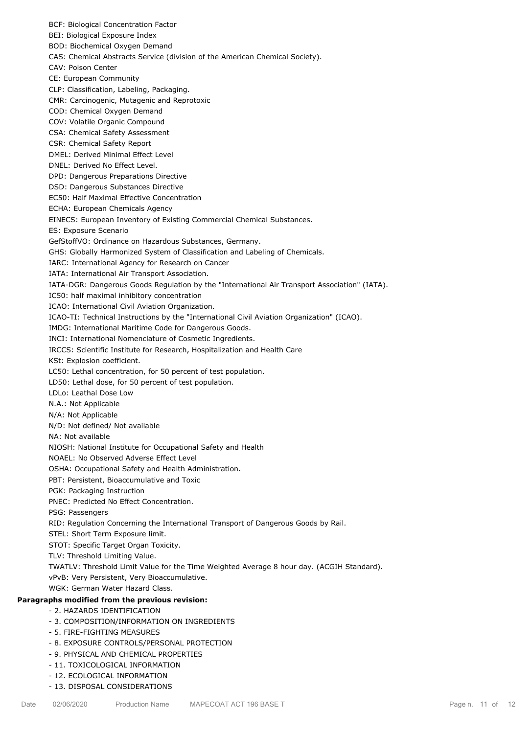BCF: Biological Concentration Factor BEI: Biological Exposure Index BOD: Biochemical Oxygen Demand CAS: Chemical Abstracts Service (division of the American Chemical Society). CAV: Poison Center CE: European Community CLP: Classification, Labeling, Packaging. CMR: Carcinogenic, Mutagenic and Reprotoxic COD: Chemical Oxygen Demand COV: Volatile Organic Compound CSA: Chemical Safety Assessment CSR: Chemical Safety Report DMEL: Derived Minimal Effect Level DNEL: Derived No Effect Level. DPD: Dangerous Preparations Directive DSD: Dangerous Substances Directive EC50: Half Maximal Effective Concentration ECHA: European Chemicals Agency EINECS: European Inventory of Existing Commercial Chemical Substances. ES: Exposure Scenario GefStoffVO: Ordinance on Hazardous Substances, Germany. GHS: Globally Harmonized System of Classification and Labeling of Chemicals. IARC: International Agency for Research on Cancer IATA: International Air Transport Association. IATA-DGR: Dangerous Goods Regulation by the "International Air Transport Association" (IATA). IC50: half maximal inhibitory concentration ICAO: International Civil Aviation Organization. ICAO-TI: Technical Instructions by the "International Civil Aviation Organization" (ICAO). IMDG: International Maritime Code for Dangerous Goods. INCI: International Nomenclature of Cosmetic Ingredients. IRCCS: Scientific Institute for Research, Hospitalization and Health Care KSt: Explosion coefficient. LC50: Lethal concentration, for 50 percent of test population. LD50: Lethal dose, for 50 percent of test population. LDLo: Leathal Dose Low N.A.: Not Applicable N/A: Not Applicable N/D: Not defined/ Not available NA: Not available NIOSH: National Institute for Occupational Safety and Health NOAEL: No Observed Adverse Effect Level OSHA: Occupational Safety and Health Administration. PBT: Persistent, Bioaccumulative and Toxic PGK: Packaging Instruction PNEC: Predicted No Effect Concentration. PSG: Passengers RID: Regulation Concerning the International Transport of Dangerous Goods by Rail. STEL: Short Term Exposure limit. STOT: Specific Target Organ Toxicity. TLV: Threshold Limiting Value. TWATLV: Threshold Limit Value for the Time Weighted Average 8 hour day. (ACGIH Standard). vPvB: Very Persistent, Very Bioaccumulative. WGK: German Water Hazard Class. **Paragraphs modified from the previous revision:** - 2. HAZARDS IDENTIFICATION - 3. COMPOSITION/INFORMATION ON INGREDIENTS - 5. FIRE-FIGHTING MEASURES - 8. EXPOSURE CONTROLS/PERSONAL PROTECTION - 9. PHYSICAL AND CHEMICAL PROPERTIES

- 11. TOXICOLOGICAL INFORMATION
- 12. ECOLOGICAL INFORMATION
- 13. DISPOSAL CONSIDERATIONS